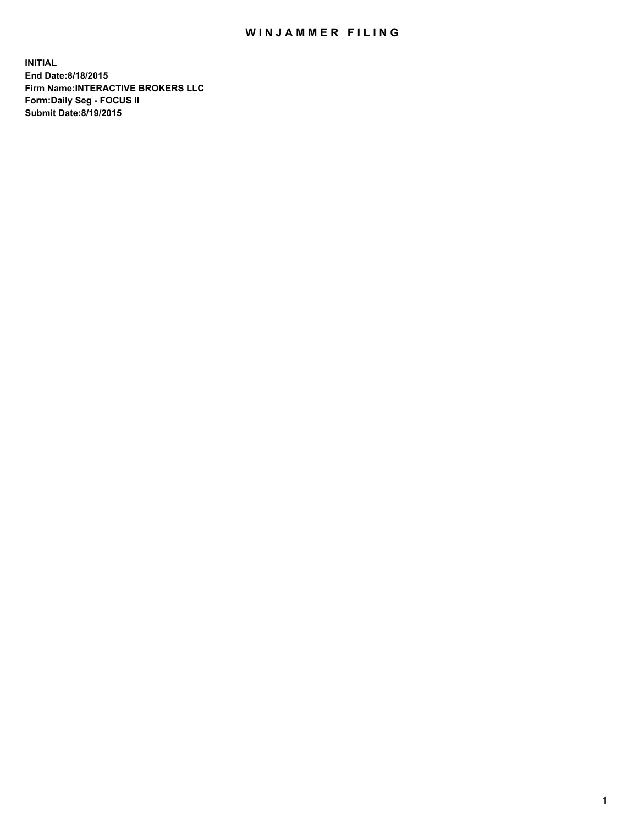## WIN JAMMER FILING

**INITIAL End Date:8/18/2015 Firm Name:INTERACTIVE BROKERS LLC Form:Daily Seg - FOCUS II Submit Date:8/19/2015**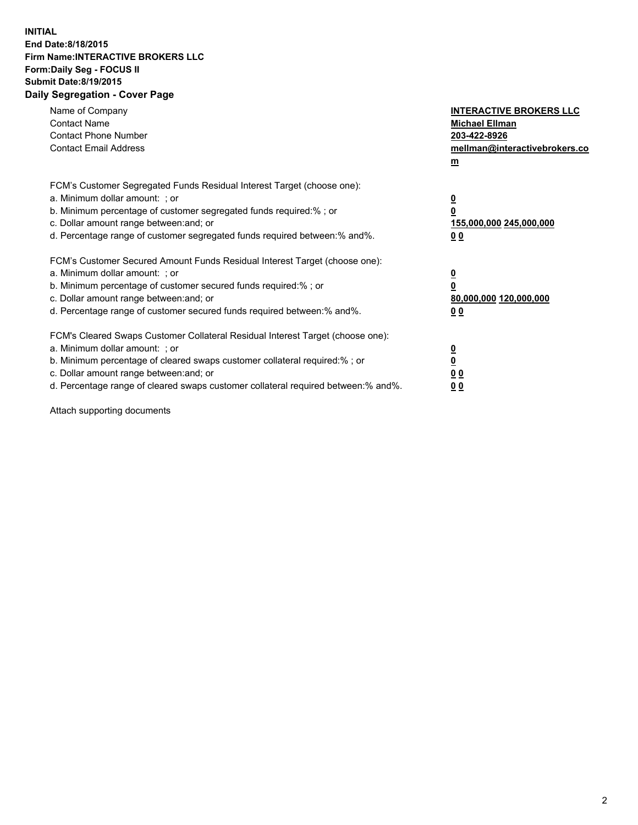## **INITIAL End Date:8/18/2015 Firm Name:INTERACTIVE BROKERS LLC Form:Daily Seg - FOCUS II Submit Date:8/19/2015 Daily Segregation - Cover Page**

| Name of Company<br><b>Contact Name</b><br><b>Contact Phone Number</b><br><b>Contact Email Address</b>                                                                                                                                                                                                                          | <b>INTERACTIVE BROKERS LLC</b><br><b>Michael Ellman</b><br>203-422-8926<br>mellman@interactivebrokers.co<br>$m$ |
|--------------------------------------------------------------------------------------------------------------------------------------------------------------------------------------------------------------------------------------------------------------------------------------------------------------------------------|-----------------------------------------------------------------------------------------------------------------|
| FCM's Customer Segregated Funds Residual Interest Target (choose one):<br>a. Minimum dollar amount: ; or<br>b. Minimum percentage of customer segregated funds required:% ; or<br>c. Dollar amount range between: and; or<br>d. Percentage range of customer segregated funds required between: % and %.                       | $\overline{\mathbf{0}}$<br>0<br>155,000,000 245,000,000<br>00                                                   |
| FCM's Customer Secured Amount Funds Residual Interest Target (choose one):<br>a. Minimum dollar amount: ; or<br>b. Minimum percentage of customer secured funds required:%; or<br>c. Dollar amount range between: and; or<br>d. Percentage range of customer secured funds required between: % and %.                          | $\overline{\mathbf{0}}$<br>0<br>80,000,000 120,000,000<br>0 <sub>0</sub>                                        |
| FCM's Cleared Swaps Customer Collateral Residual Interest Target (choose one):<br>a. Minimum dollar amount: ; or<br>b. Minimum percentage of cleared swaps customer collateral required:% ; or<br>c. Dollar amount range between: and; or<br>d. Percentage range of cleared swaps customer collateral required between:% and%. | $\overline{\mathbf{0}}$<br>$\underline{\mathbf{0}}$<br>0 <sub>0</sub><br>0 <sub>0</sub>                         |

Attach supporting documents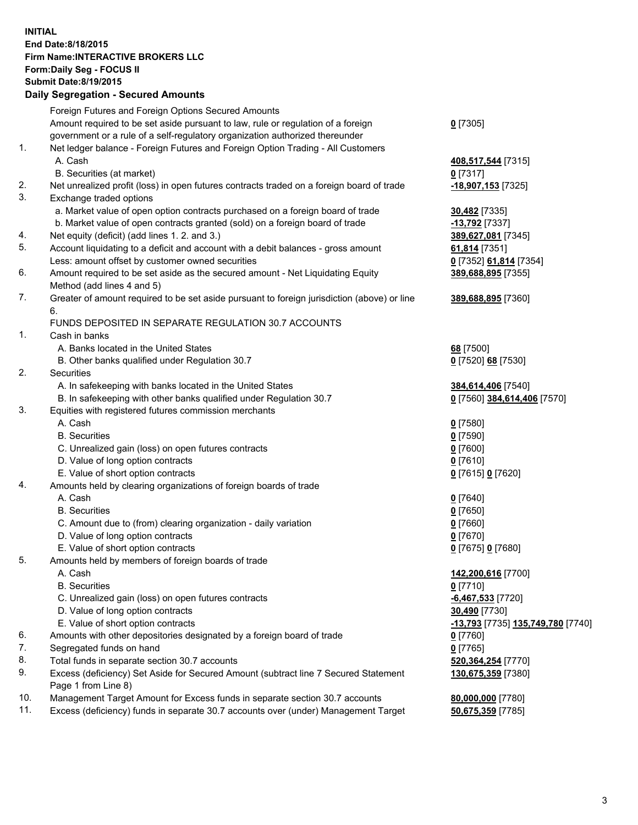## **INITIAL End Date:8/18/2015 Firm Name:INTERACTIVE BROKERS LLC Form:Daily Seg - FOCUS II Submit Date:8/19/2015 Daily Segregation - Secured Amounts**

|                | Daily Ocglegation - Occarea Anioants                                                                         |                                   |
|----------------|--------------------------------------------------------------------------------------------------------------|-----------------------------------|
|                | Foreign Futures and Foreign Options Secured Amounts                                                          |                                   |
|                | Amount required to be set aside pursuant to law, rule or regulation of a foreign                             | $0$ [7305]                        |
|                | government or a rule of a self-regulatory organization authorized thereunder                                 |                                   |
| 1.             | Net ledger balance - Foreign Futures and Foreign Option Trading - All Customers                              |                                   |
|                | A. Cash                                                                                                      | 408,517,544 [7315]                |
|                | B. Securities (at market)                                                                                    | $0$ [7317]                        |
| 2.             | Net unrealized profit (loss) in open futures contracts traded on a foreign board of trade                    | -18,907,153 [7325]                |
| 3.             | Exchange traded options                                                                                      |                                   |
|                | a. Market value of open option contracts purchased on a foreign board of trade                               | <b>30,482</b> [7335]              |
|                | b. Market value of open contracts granted (sold) on a foreign board of trade                                 | -13,792 [7337]                    |
| 4.             | Net equity (deficit) (add lines 1.2. and 3.)                                                                 | 389,627,081 [7345]                |
| 5.             | Account liquidating to a deficit and account with a debit balances - gross amount                            | 61,814 [7351]                     |
|                | Less: amount offset by customer owned securities                                                             | 0 [7352] 61,814 [7354]            |
| 6.             | Amount required to be set aside as the secured amount - Net Liquidating Equity                               | 389,688,895 [7355]                |
|                | Method (add lines 4 and 5)                                                                                   |                                   |
| 7.             | Greater of amount required to be set aside pursuant to foreign jurisdiction (above) or line                  | 389,688,895 [7360]                |
|                | 6.                                                                                                           |                                   |
|                | FUNDS DEPOSITED IN SEPARATE REGULATION 30.7 ACCOUNTS                                                         |                                   |
| $\mathbf{1}$ . | Cash in banks                                                                                                |                                   |
|                | A. Banks located in the United States                                                                        | 68 [7500]                         |
|                | B. Other banks qualified under Regulation 30.7                                                               | 0 [7520] 68 [7530]                |
| 2.             | Securities                                                                                                   |                                   |
|                | A. In safekeeping with banks located in the United States                                                    | 384,614,406 [7540]                |
|                | B. In safekeeping with other banks qualified under Regulation 30.7                                           | 0 [7560] 384,614,406 [7570]       |
| 3.             | Equities with registered futures commission merchants                                                        |                                   |
|                | A. Cash                                                                                                      | $0$ [7580]                        |
|                | <b>B.</b> Securities                                                                                         | $0$ [7590]                        |
|                | C. Unrealized gain (loss) on open futures contracts                                                          | $0$ [7600]                        |
|                | D. Value of long option contracts                                                                            | $0$ [7610]                        |
|                | E. Value of short option contracts                                                                           | 0 [7615] 0 [7620]                 |
| 4.             | Amounts held by clearing organizations of foreign boards of trade                                            |                                   |
|                | A. Cash                                                                                                      | $0$ [7640]                        |
|                | <b>B.</b> Securities                                                                                         | $0$ [7650]                        |
|                | C. Amount due to (from) clearing organization - daily variation                                              | $0$ [7660]                        |
|                | D. Value of long option contracts                                                                            | $0$ [7670]                        |
| 5.             | E. Value of short option contracts                                                                           | 0 [7675] 0 [7680]                 |
|                | Amounts held by members of foreign boards of trade                                                           |                                   |
|                | A. Cash<br><b>B.</b> Securities                                                                              | 142,200,616 [7700]                |
|                | C. Unrealized gain (loss) on open futures contracts                                                          | $0$ [7710]                        |
|                | D. Value of long option contracts                                                                            | $-6,467,533$ [7720]               |
|                |                                                                                                              | 30,490 [7730]                     |
| 6.             | E. Value of short option contracts<br>Amounts with other depositories designated by a foreign board of trade | -13,793 [7735] 135,749,780 [7740] |
| 7.             |                                                                                                              | 0 [7760]                          |
| 8.             | Segregated funds on hand                                                                                     | $0$ [7765]                        |
| 9.             | Total funds in separate section 30.7 accounts                                                                | 520,364,254 [7770]                |
|                | Excess (deficiency) Set Aside for Secured Amount (subtract line 7 Secured Statement<br>Page 1 from Line 8)   | 130,675,359 [7380]                |
| 10.            | Management Target Amount for Excess funds in separate section 30.7 accounts                                  | 80,000,000 [7780]                 |
| 11.            | Excess (deficiency) funds in separate 30.7 accounts over (under) Management Target                           | 50,675,359 [7785]                 |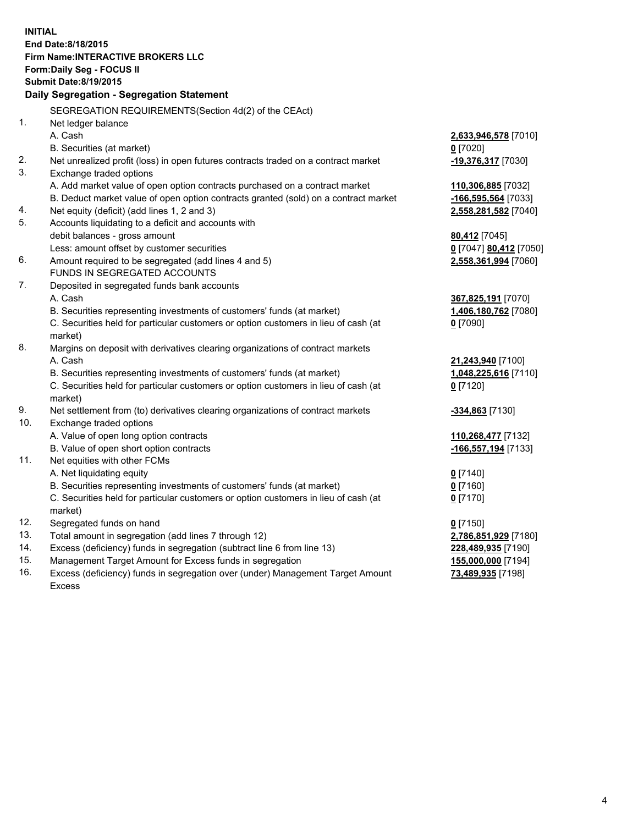**INITIAL End Date:8/18/2015 Firm Name:INTERACTIVE BROKERS LLC Form:Daily Seg - FOCUS II Submit Date:8/19/2015 Daily Segregation - Segregation Statement** SEGREGATION REQUIREMENTS(Section 4d(2) of the CEAct) 1. Net ledger balance A. Cash **2,633,946,578** [7010] B. Securities (at market) **0** [7020] 2. Net unrealized profit (loss) in open futures contracts traded on a contract market **-19,376,317** [7030] 3. Exchange traded options A. Add market value of open option contracts purchased on a contract market **110,306,885** [7032] B. Deduct market value of open option contracts granted (sold) on a contract market **-166,595,564** [7033] 4. Net equity (deficit) (add lines 1, 2 and 3) **2,558,281,582** [7040] 5. Accounts liquidating to a deficit and accounts with debit balances - gross amount **80,412** [7045] Less: amount offset by customer securities **0** [7047] **80,412** [7050] 6. Amount required to be segregated (add lines 4 and 5) **2,558,361,994** [7060] FUNDS IN SEGREGATED ACCOUNTS 7. Deposited in segregated funds bank accounts A. Cash **367,825,191** [7070] B. Securities representing investments of customers' funds (at market) **1,406,180,762** [7080] C. Securities held for particular customers or option customers in lieu of cash (at market) **0** [7090] 8. Margins on deposit with derivatives clearing organizations of contract markets A. Cash **21,243,940** [7100] B. Securities representing investments of customers' funds (at market) **1,048,225,616** [7110] C. Securities held for particular customers or option customers in lieu of cash (at market) **0** [7120] 9. Net settlement from (to) derivatives clearing organizations of contract markets **-334,863** [7130] 10. Exchange traded options A. Value of open long option contracts **110,268,477** [7132] B. Value of open short option contracts **-166,557,194** [7133] 11. Net equities with other FCMs A. Net liquidating equity **0** [7140] B. Securities representing investments of customers' funds (at market) **0** [7160] C. Securities held for particular customers or option customers in lieu of cash (at market) **0** [7170] 12. Segregated funds on hand **0** [7150] 13. Total amount in segregation (add lines 7 through 12) **2,786,851,929** [7180] 14. Excess (deficiency) funds in segregation (subtract line 6 from line 13) **228,489,935** [7190] 15. Management Target Amount for Excess funds in segregation **155,000,000** [7194] **73,489,935** [7198]

16. Excess (deficiency) funds in segregation over (under) Management Target Amount Excess